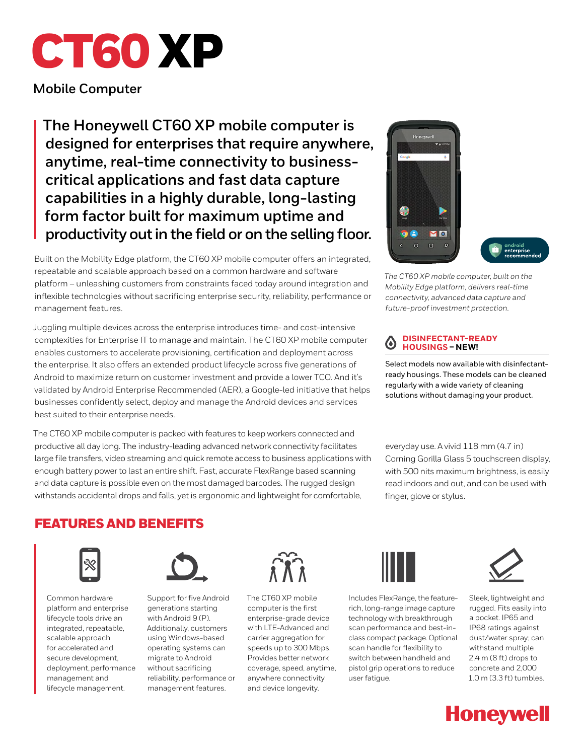

**Mobile Computer**

**The Honeywell CT60 XP mobile computer is designed for enterprises that require anywhere, anytime, real-time connectivity to businesscritical applications and fast data capture capabilities in a highly durable, long-lasting form factor built for maximum uptime and productivity out in the field or on the selling floor.** 

Built on the Mobility Edge platform, the CT60 XP mobile computer offers an integrated, repeatable and scalable approach based on a common hardware and software platform – unleashing customers from constraints faced today around integration and inflexible technologies without sacrificing enterprise security, reliability, performance or management features.

Juggling multiple devices across the enterprise introduces time- and cost-intensive complexities for Enterprise IT to manage and maintain. The CT60 XP mobile computer enables customers to accelerate provisioning, certification and deployment across the enterprise. It also offers an extended product lifecycle across five generations of Android to maximize return on customer investment and provide a lower TCO. And it's validated by Android Enterprise Recommended (AER), a Google-led initiative that helps businesses confidently select, deploy and manage the Android devices and services best suited to their enterprise needs.

The CT60 XP mobile computer is packed with features to keep workers connected and productive all day long. The industry-leading advanced network connectivity facilitates large file transfers, video streaming and quick remote access to business applications with enough battery power to last an entire shift. Fast, accurate FlexRange based scanning and data capture is possible even on the most damaged barcodes. The rugged design withstands accidental drops and falls, yet is ergonomic and lightweight for comfortable,



*The CT60 XP mobile computer, built on the Mobility Edge platform, delivers real-time connectivity, advanced data capture and future-proof investment protection.*

#### **DISINFECTANT-READY**   $\omega$ **HOUSINGS – NEW!**

Select models now available with disinfectantready housings. These models can be cleaned regularly with a wide variety of cleaning solutions without damaging your product.

everyday use. A vivid 118 mm (4.7 in) Corning Gorilla Glass 5 touchscreen display, with 500 nits maximum brightness, is easily read indoors and out, and can be used with finger, glove or stylus.

# FEATURES AND BENEFITS



Common hardware platform and enterprise lifecycle tools drive an integrated, repeatable, scalable approach for accelerated and secure development, deployment, performance management and lifecycle management.



Support for five Android generations starting with Android 9 (P). Additionally, customers using Windows-based operating systems can migrate to Android without sacrificing reliability, performance or management features.



The CT60 XP mobile computer is the first enterprise-grade device with LTE-Advanced and carrier aggregation for speeds up to 300 Mbps. Provides better network coverage, speed, anytime, anywhere connectivity and device longevity.



Includes FlexRange, the featurerich, long-range image capture technology with breakthrough scan performance and best-inclass compact package. Optional scan handle for flexibility to switch between handheld and pistol grip operations to reduce user fatigue.



Sleek, lightweight and rugged. Fits easily into a pocket. IP65 and IP68 ratings against dust/water spray; can withstand multiple 2.4 m (8 ft) drops to concrete and 2,000 1.0 m (3.3 ft) tumbles.